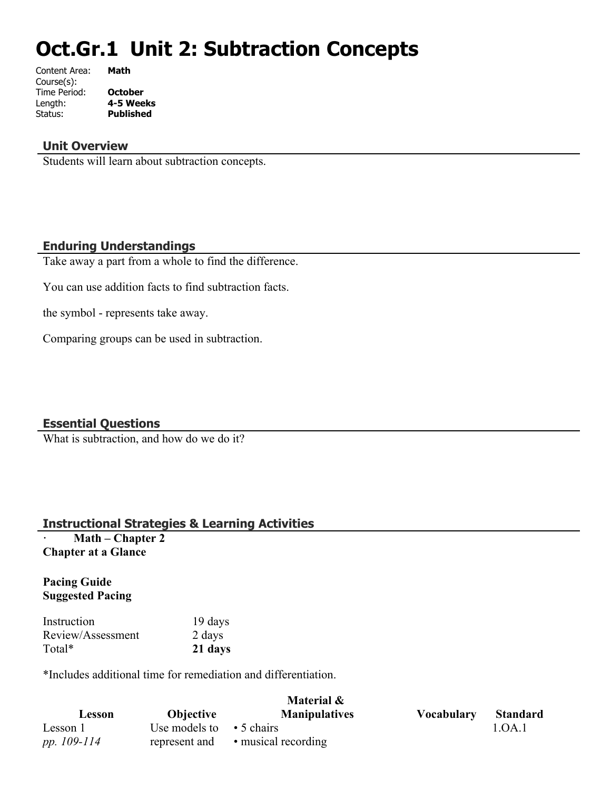# **Oct.Gr.1 Unit 2: Subtraction Concepts**

| Content Area: | Math             |
|---------------|------------------|
| Course(s):    |                  |
| Time Period:  | <b>October</b>   |
| Length:       | 4-5 Weeks        |
| Status:       | <b>Published</b> |
|               |                  |

#### **Unit Overview**

Students will learn about subtraction concepts.

#### **Enduring Understandings**

Take away a part from a whole to find the difference.

You can use addition facts to find subtraction facts.

the symbol - represents take away.

Comparing groups can be used in subtraction.

#### **Essential Questions**

What is subtraction, and how do we do it?

#### **Instructional Strategies & Learning Activities**

**· Math – Chapter 2 Chapter at a Glance**

#### **Pacing Guide Suggested Pacing**

| Instruction       | 19 days |
|-------------------|---------|
| Review/Assessment | 2 days  |
| Total*            | 21 days |

\*Includes additional time for remediation and differentiation.

|             | Material &                     |                      |                   |                 |
|-------------|--------------------------------|----------------------|-------------------|-----------------|
| Lesson      | <b>Objective</b>               | <b>Manipulatives</b> | <b>Vocabulary</b> | <b>Standard</b> |
| Lesson 1    | Use models to $\cdot$ 5 chairs |                      |                   | 1.OA.1          |
| pp. 109-114 | represent and                  | • musical recording  |                   |                 |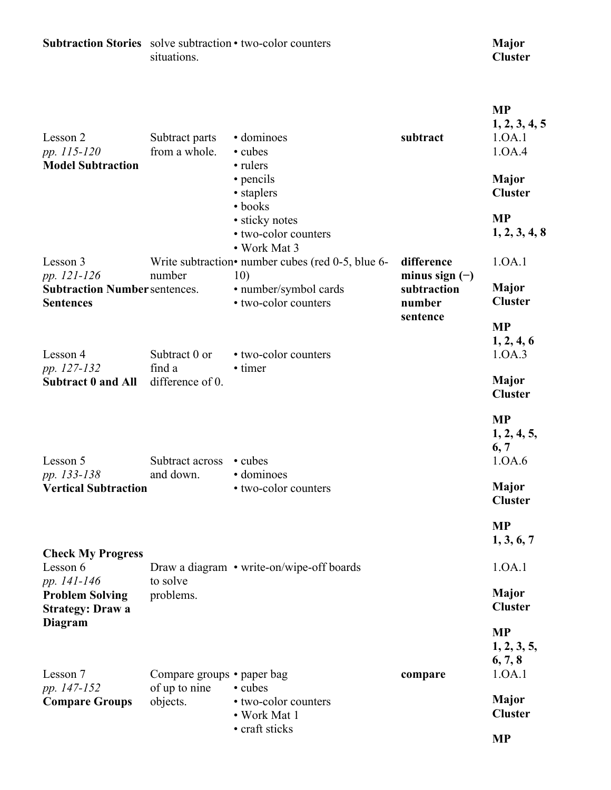| <b>Subtraction Stories</b> solve subtraction • two-color counters       | situations.                     |                                                                                              |                                           | <b>Major</b><br><b>Cluster</b>                 |
|-------------------------------------------------------------------------|---------------------------------|----------------------------------------------------------------------------------------------|-------------------------------------------|------------------------------------------------|
| Lesson 2<br>pp. 115-120                                                 | Subtract parts<br>from a whole. | · dominoes<br>• cubes                                                                        | subtract                                  | <b>MP</b><br>1, 2, 3, 4, 5<br>1.0A.1<br>1.0A.4 |
| <b>Model Subtraction</b>                                                |                                 | • rulers<br>• pencils<br>• staplers<br>• books<br>• sticky notes                             |                                           | <b>Major</b><br><b>Cluster</b><br><b>MP</b>    |
| Lesson 3                                                                |                                 | • two-color counters<br>• Work Mat 3<br>Write subtraction• number cubes (red $0-5$ , blue 6- | difference                                | 1, 2, 3, 4, 8<br>1.0A.1                        |
| pp. 121-126<br><b>Subtraction Number sentences.</b><br><b>Sentences</b> | number                          | 10)<br>· number/symbol cards<br>• two-color counters                                         | minus sign $(-)$<br>subtraction<br>number | <b>Major</b><br><b>Cluster</b>                 |
| Lesson 4                                                                | Subtract 0 or                   | • two-color counters                                                                         | sentence                                  | <b>MP</b><br>1, 2, 4, 6<br>1.0A.3              |
| pp. 127-132<br><b>Subtract 0 and All</b>                                | find a<br>difference of 0.      | • timer                                                                                      |                                           | <b>Major</b><br><b>Cluster</b>                 |
| Lesson 5                                                                | Subtract across                 | • cubes                                                                                      |                                           | <b>MP</b><br>1, 2, 4, 5,<br>6, 7<br>1.0A.6     |
| pp. 133-138<br><b>Vertical Subtraction</b>                              | and down.                       | · dominoes<br>• two-color counters                                                           |                                           | Major<br><b>Cluster</b>                        |
|                                                                         |                                 |                                                                                              |                                           | <b>MP</b><br>1, 3, 6, 7                        |
| <b>Check My Progress</b><br>Lesson 6<br>pp. 141-146                     | to solve                        | Draw a diagram • write-on/wipe-off boards                                                    |                                           | 1.0A.1                                         |
| <b>Problem Solving</b><br><b>Strategy: Draw a</b>                       | problems.                       |                                                                                              |                                           | <b>Major</b><br><b>Cluster</b>                 |
| Diagram<br>Lesson 7                                                     | Compare groups • paper bag      |                                                                                              | compare                                   | <b>MP</b><br>1, 2, 3, 5,<br>6, 7, 8<br>1.0A.1  |
| pp. 147-152<br><b>Compare Groups</b>                                    | of up to nine<br>objects.       | • cubes<br>• two-color counters<br>• Work Mat 1                                              |                                           | <b>Major</b><br><b>Cluster</b>                 |
|                                                                         |                                 | • craft sticks                                                                               |                                           | <b>MP</b>                                      |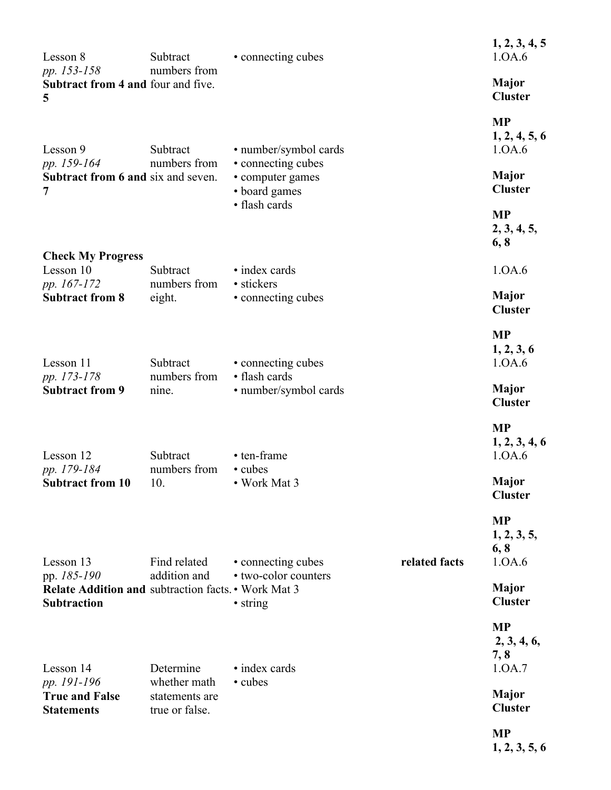| Lesson 8                                                                                 | Subtract                                         | • connecting cubes                                      |               | 1, 2, 3, 4, 5<br>1.0A.6                    |
|------------------------------------------------------------------------------------------|--------------------------------------------------|---------------------------------------------------------|---------------|--------------------------------------------|
| pp. 153-158<br>Subtract from 4 and four and five.<br>5                                   | numbers from                                     |                                                         |               | <b>Major</b><br><b>Cluster</b>             |
| Lesson 9                                                                                 | Subtract                                         | • number/symbol cards                                   |               | <b>MP</b><br>1, 2, 4, 5, 6<br>1.0A.6       |
| pp. 159-164<br><b>Subtract from 6 and six and seven.</b><br>7                            | numbers from                                     | • connecting cubes<br>• computer games<br>• board games |               | <b>Major</b><br><b>Cluster</b>             |
|                                                                                          |                                                  | • flash cards                                           |               | <b>MP</b><br>2, 3, 4, 5,<br>6, 8           |
| <b>Check My Progress</b><br>Lesson 10                                                    | Subtract                                         | • index cards                                           |               | 1.0A.6                                     |
| pp. 167-172<br><b>Subtract from 8</b>                                                    | numbers from<br>eight.                           | • stickers<br>• connecting cubes                        |               | Major<br><b>Cluster</b>                    |
| Lesson 11                                                                                | Subtract                                         | • connecting cubes<br>• flash cards                     |               | <b>MP</b><br>1, 2, 3, 6<br>1.0A.6          |
| pp. 173-178<br><b>Subtract from 9</b>                                                    | numbers from<br>nine.                            | • number/symbol cards                                   |               | <b>Major</b><br><b>Cluster</b>             |
| Lesson 12<br>pp. 179-184                                                                 | Subtract<br>numbers from                         | • ten-frame<br>• cubes                                  |               | <b>MP</b><br>1, 2, 3, 4, 6<br>1.0A.6       |
| <b>Subtract from 10</b>                                                                  | 10.                                              | • Work Mat 3                                            |               | <b>Major</b><br><b>Cluster</b>             |
| Lesson 13                                                                                | Find related                                     | • connecting cubes                                      | related facts | <b>MP</b><br>1, 2, 3, 5,<br>6, 8<br>1.0A.6 |
| pp. 185-190<br>Relate Addition and subtraction facts. • Work Mat 3<br><b>Subtraction</b> | addition and                                     | • two-color counters<br>• string                        |               | <b>Major</b><br><b>Cluster</b>             |
| Lesson 14                                                                                | Determine                                        | • index cards                                           |               | <b>MP</b><br>2, 3, 4, 6,<br>7,8<br>1.0A.7  |
| pp. 191-196<br><b>True and False</b><br><b>Statements</b>                                | whether math<br>statements are<br>true or false. | • cubes                                                 |               | <b>Major</b><br><b>Cluster</b>             |
|                                                                                          |                                                  |                                                         |               | <b>MP</b><br>1, 2, 3, 5, 6                 |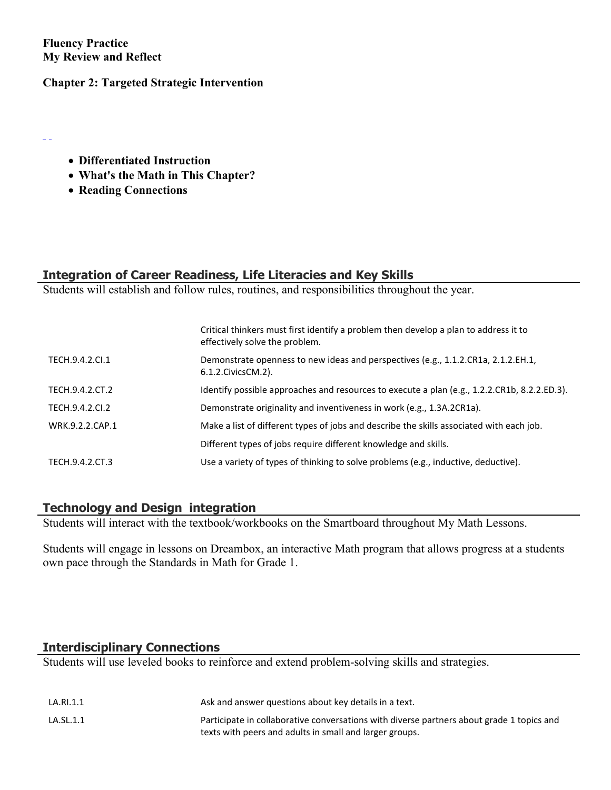**Fluency Practice My Review and Reflect**

 $\equiv$   $\equiv$ 

#### **Chapter 2: Targeted Strategic Intervention**

- **Differentiated Instruction**
- **What's the Math in This Chapter?**
- **Reading Connections**

## **Integration of Career Readiness, Life Literacies and Key Skills**

Students will establish and follow rules, routines, and responsibilities throughout the year.

|                 | Critical thinkers must first identify a problem then develop a plan to address it to<br>effectively solve the problem. |
|-----------------|------------------------------------------------------------------------------------------------------------------------|
| TECH.9.4.2.Cl.1 | Demonstrate openness to new ideas and perspectives (e.g., 1.1.2.CR1a, 2.1.2.EH.1,<br>6.1.2. Civics CM. 2).             |
| TECH.9.4.2.CT.2 | Identify possible approaches and resources to execute a plan (e.g., 1.2.2.CR1b, 8.2.2.ED.3).                           |
| TECH.9.4.2.CI.2 | Demonstrate originality and inventiveness in work (e.g., 1.3A.2CR1a).                                                  |
| WRK.9.2.2.CAP.1 | Make a list of different types of jobs and describe the skills associated with each job.                               |
|                 | Different types of jobs require different knowledge and skills.                                                        |
| TECH.9.4.2.CT.3 | Use a variety of types of thinking to solve problems (e.g., inductive, deductive).                                     |

### **Technology and Design integration**

Students will interact with the textbook/workbooks on the Smartboard throughout My Math Lessons.

Students will engage in lessons on Dreambox, an interactive Math program that allows progress at a students own pace through the Standards in Math for Grade 1.

#### **Interdisciplinary Connections**

Students will use leveled books to reinforce and extend problem-solving skills and strategies.

| LA.RI.1.1 | Ask and answer questions about key details in a text.                                     |
|-----------|-------------------------------------------------------------------------------------------|
| LA.SL.1.1 | Participate in collaborative conversations with diverse partners about grade 1 topics and |
|           | texts with peers and adults in small and larger groups.                                   |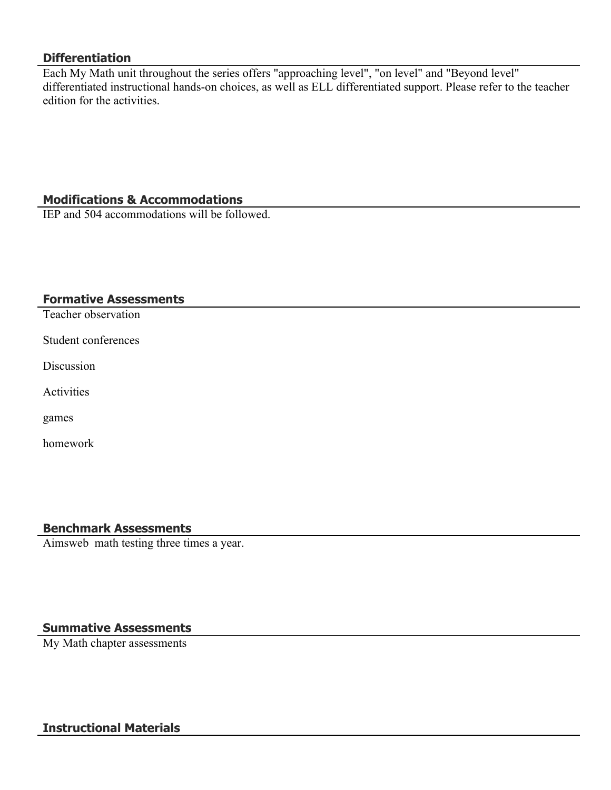#### **Differentiation**

Each My Math unit throughout the series offers "approaching level", "on level" and "Beyond level" differentiated instructional hands-on choices, as well as ELL differentiated support. Please refer to the teacher edition for the activities.

#### **Modifications & Accommodations**

IEP and 504 accommodations will be followed.

#### **Formative Assessments**

Teacher observation

Student conferences

**Discussion** 

Activities

games

homework

#### **Benchmark Assessments**

Aimsweb math testing three times a year.

#### **Summative Assessments**

My Math chapter assessments

#### **Instructional Materials**